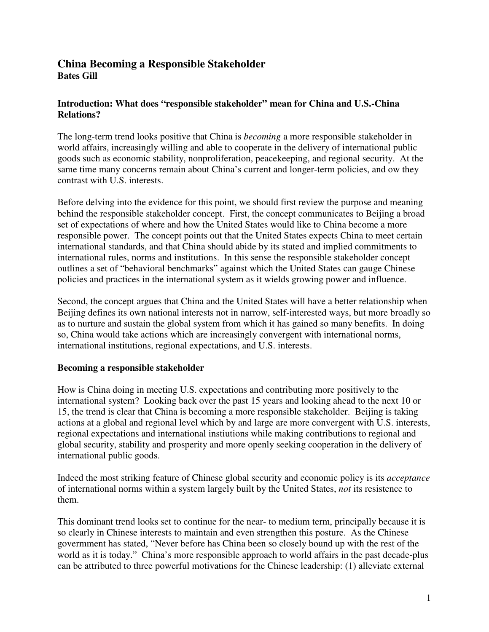## **China Becoming a Responsible Stakeholder Bates Gill**

## **Introduction: What does "responsible stakeholder" mean for China and U.S.-China Relations?**

The long-term trend looks positive that China is *becoming* a more responsible stakeholder in world affairs, increasingly willing and able to cooperate in the delivery of international public goods such as economic stability, nonproliferation, peacekeeping, and regional security. At the same time many concerns remain about China's current and longer-term policies, and ow they contrast with U.S. interests.

Before delving into the evidence for this point, we should first review the purpose and meaning behind the responsible stakeholder concept. First, the concept communicates to Beijing a broad set of expectations of where and how the United States would like to China become a more responsible power. The concept points out that the United States expects China to meet certain international standards, and that China should abide by its stated and implied commitments to international rules, norms and institutions. In this sense the responsible stakeholder concept outlines a set of "behavioral benchmarks" against which the United States can gauge Chinese policies and practices in the international system as it wields growing power and influence.

Second, the concept argues that China and the United States will have a better relationship when Beijing defines its own national interests not in narrow, self-interested ways, but more broadly so as to nurture and sustain the global system from which it has gained so many benefits. In doing so, China would take actions which are increasingly convergent with international norms, international institutions, regional expectations, and U.S. interests.

## **Becoming a responsible stakeholder**

How is China doing in meeting U.S. expectations and contributing more positively to the international system? Looking back over the past 15 years and looking ahead to the next 10 or 15, the trend is clear that China is becoming a more responsible stakeholder. Beijing is taking actions at a global and regional level which by and large are more convergent with U.S. interests, regional expectations and international instiutions while making contributions to regional and global security, stability and prosperity and more openly seeking cooperation in the delivery of international public goods.

Indeed the most striking feature of Chinese global security and economic policy is its *acceptance* of international norms within a system largely built by the United States, *not* its resistence to them.

This dominant trend looks set to continue for the near- to medium term, principally because it is so clearly in Chinese interests to maintain and even strengthen this posture. As the Chinese govermment has stated, "Never before has China been so closely bound up with the rest of the world as it is today." China's more responsible approach to world affairs in the past decade-plus can be attributed to three powerful motivations for the Chinese leadership: (1) alleviate external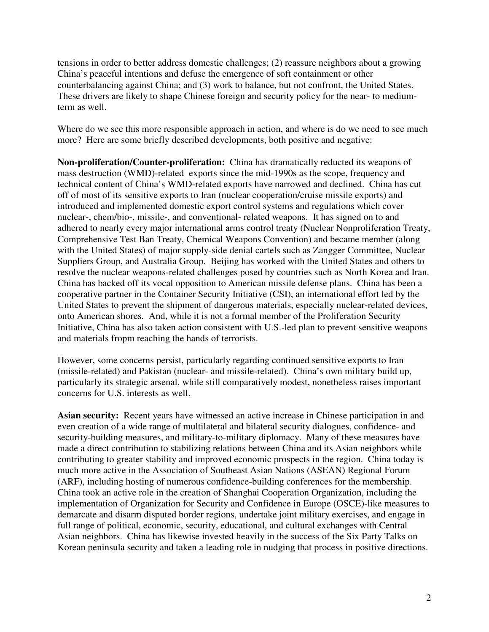tensions in order to better address domestic challenges; (2) reassure neighbors about a growing China's peaceful intentions and defuse the emergence of soft containment or other counterbalancing against China; and (3) work to balance, but not confront, the United States. These drivers are likely to shape Chinese foreign and security policy for the near- to mediumterm as well.

Where do we see this more responsible approach in action, and where is do we need to see much more? Here are some briefly described developments, both positive and negative:

**Non-proliferation/Counter-proliferation:** China has dramatically reducted its weapons of mass destruction (WMD)-related exports since the mid-1990s as the scope, frequency and technical content of China's WMD-related exports have narrowed and declined. China has cut off of most of its sensitive exports to Iran (nuclear cooperation/cruise missile exports) and introduced and implemented domestic export control systems and regulations which cover nuclear-, chem/bio-, missile-, and conventional- related weapons. It has signed on to and adhered to nearly every major international arms control treaty (Nuclear Nonproliferation Treaty, Comprehensive Test Ban Treaty, Chemical Weapons Convention) and became member (along with the United States) of major supply-side denial cartels such as Zangger Committee, Nuclear Suppliers Group, and Australia Group. Beijing has worked with the United States and others to resolve the nuclear weapons-related challenges posed by countries such as North Korea and Iran. China has backed off its vocal opposition to American missile defense plans. China has been a cooperative partner in the Container Security Initiative (CSI), an international effort led by the United States to prevent the shipment of dangerous materials, especially nuclear-related devices, onto American shores. And, while it is not a formal member of the Proliferation Security Initiative, China has also taken action consistent with U.S.-led plan to prevent sensitive weapons and materials fropm reaching the hands of terrorists.

However, some concerns persist, particularly regarding continued sensitive exports to Iran (missile-related) and Pakistan (nuclear- and missile-related). China's own military build up, particularly its strategic arsenal, while still comparatively modest, nonetheless raises important concerns for U.S. interests as well.

**Asian security:** Recent years have witnessed an active increase in Chinese participation in and even creation of a wide range of multilateral and bilateral security dialogues, confidence- and security-building measures, and military-to-military diplomacy. Many of these measures have made a direct contribution to stabilizing relations between China and its Asian neighbors while contributing to greater stability and improved economic prospects in the region. China today is much more active in the Association of Southeast Asian Nations (ASEAN) Regional Forum (ARF), including hosting of numerous confidence-building conferences for the membership. China took an active role in the creation of Shanghai Cooperation Organization, including the implementation of Organization for Security and Confidence in Europe (OSCE)-like measures to demarcate and disarm disputed border regions, undertake joint military exercises, and engage in full range of political, economic, security, educational, and cultural exchanges with Central Asian neighbors. China has likewise invested heavily in the success of the Six Party Talks on Korean peninsula security and taken a leading role in nudging that process in positive directions.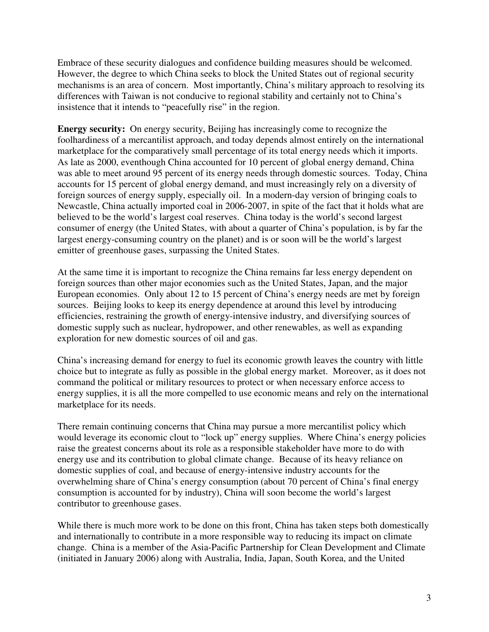Embrace of these security dialogues and confidence building measures should be welcomed. However, the degree to which China seeks to block the United States out of regional security mechanisms is an area of concern. Most importantly, China's military approach to resolving its differences with Taiwan is not conducive to regional stability and certainly not to China's insistence that it intends to "peacefully rise" in the region.

**Energy security:** On energy security, Beijing has increasingly come to recognize the foolhardiness of a mercantilist approach, and today depends almost entirely on the international marketplace for the comparatively small percentage of its total energy needs which it imports. As late as 2000, eventhough China accounted for 10 percent of global energy demand, China was able to meet around 95 percent of its energy needs through domestic sources. Today, China accounts for 15 percent of global energy demand, and must increasingly rely on a diversity of foreign sources of energy supply, especially oil. In a modern-day version of bringing coals to Newcastle, China actually imported coal in 2006-2007, in spite of the fact that it holds what are believed to be the world's largest coal reserves. China today is the world's second largest consumer of energy (the United States, with about a quarter of China's population, is by far the largest energy-consuming country on the planet) and is or soon will be the world's largest emitter of greenhouse gases, surpassing the United States.

At the same time it is important to recognize the China remains far less energy dependent on foreign sources than other major economies such as the United States, Japan, and the major European economies. Only about 12 to 15 percent of China's energy needs are met by foreign sources. Beijing looks to keep its energy dependence at around this level by introducing efficiencies, restraining the growth of energy-intensive industry, and diversifying sources of domestic supply such as nuclear, hydropower, and other renewables, as well as expanding exploration for new domestic sources of oil and gas.

China's increasing demand for energy to fuel its economic growth leaves the country with little choice but to integrate as fully as possible in the global energy market. Moreover, as it does not command the political or military resources to protect or when necessary enforce access to energy supplies, it is all the more compelled to use economic means and rely on the international marketplace for its needs.

There remain continuing concerns that China may pursue a more mercantilist policy which would leverage its economic clout to "lock up" energy supplies. Where China's energy policies raise the greatest concerns about its role as a responsible stakeholder have more to do with energy use and its contribution to global climate change. Because of its heavy reliance on domestic supplies of coal, and because of energy-intensive industry accounts for the overwhelming share of China's energy consumption (about 70 percent of China's final energy consumption is accounted for by industry), China will soon become the world's largest contributor to greenhouse gases.

While there is much more work to be done on this front, China has taken steps both domestically and internationally to contribute in a more responsible way to reducing its impact on climate change. China is a member of the Asia-Pacific Partnership for Clean Development and Climate (initiated in January 2006) along with Australia, India, Japan, South Korea, and the United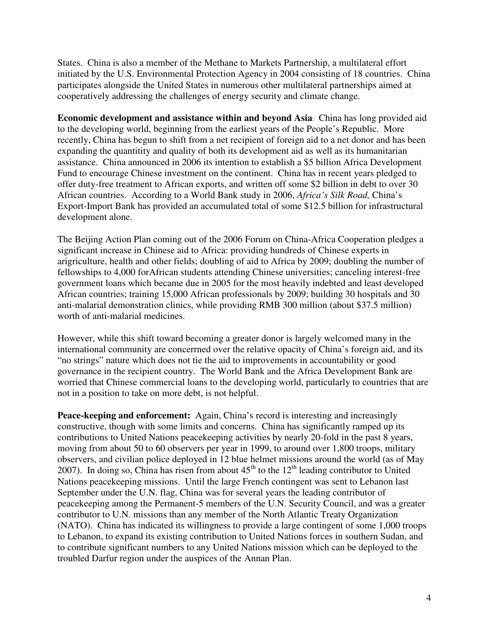States. China is also a member of the Methane to Markets Partnership, a multilateral effort initiated by the U.S. Environmental Protection Agency in 2004 consisting of 18 countries. China participates alongside the United States in numerous other multilateral partnerships aimed at cooperatively addressing the challenges of energy security and climate change.

**Economic development and assistance within and beyond Asia**: China has long provided aid to the developing world, beginning from the earliest years of the People's Republic. More recently, China has begun to shift from a net recipient of foreign aid to a net donor and has been expanding the quantitity and quality of both its development aid as well as its humanitarian assistance. China announced in 2006 its intention to establish a \$5 billion Africa Development Fund to encourage Chinese investment on the continent. China has in recent years pledged to offer duty-free treatment to African exports, and written off some \$2 billion in debt to over 30 African countries. According to a World Bank study in 2006, *Africa's Silk Road,* China's Export-Import Bank has provided an accumulated total of some \$12.5 billion for infrastructural development alone.

The Beijing Action Plan coming out of the 2006 Forum on China-Africa Cooperation pledges a significant increase in Chinese aid to Africa: providing hundreds of Chinese experts in arigriculture, health and other fields; doubling of aid to Africa by 2009; doubling the number of fellowships to 4,000 forAfrican students attending Chinese universities; canceling interest-free government loans which became due in 2005 for the most heavily indebted and least developed African countries; training 15,000 African professionals by 2009; building 30 hospitals and 30 anti-malarial demonstration clinics, while providing RMB 300 million (about \$37.5 million) worth of anti-malarial medicines.

However, while this shift toward becoming a greater donor is largely welcomed many in the international community are concerrned over the relative opacity of China's foreign aid, and its "no strings" nature which does not tie the aid to improvements in accountability or good governance in the recipient country. The World Bank and the Africa Development Bank are worried that Chinese commercial loans to the developing world, particularly to countries that are not in a position to take on more debt, is not helpful.

**Peace-keeping and enforcement:** Again, China's record is interesting and increasingly constructive, though with some limits and concerns. China has significantly ramped up its contributions to United Nations peacekeeping activities by nearly 20-fold in the past 8 years, moving from about 50 to 60 observers per year in 1999, to around over 1,800 troops, military observers, and civilian police deployed in 12 blue helmet missions around the world (as of May 2007). In doing so, China has risen from about  $45<sup>th</sup>$  to the  $12<sup>th</sup>$  leading contributor to United Nations peacekeeping missions. Until the large French contingent was sent to Lebanon last September under the U.N. flag, China was for several years the leading contributor of peacekeeping among the Permanent-5 members of the U.N. Security Council, and was a greater contributor to U.N. missions than any member of the North Atlantic Treaty Organization (NATO). China has indicated its willingness to provide a large contingent of some 1,000 troops to Lebanon, to expand its existing contribution to United Nations forces in southern Sudan, and to contribute significant numbers to any United Nations mission which can be deployed to the troubled Darfur region under the auspices of the Annan Plan.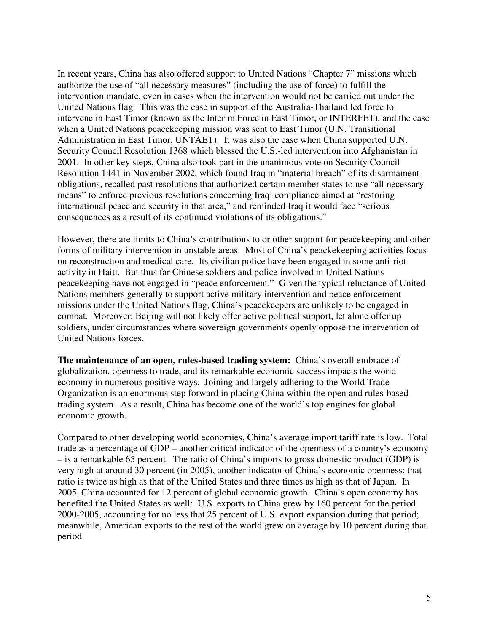In recent years, China has also offered support to United Nations "Chapter 7" missions which authorize the use of "all necessary measures" (including the use of force) to fulfill the intervention mandate, even in cases when the intervention would not be carried out under the United Nations flag. This was the case in support of the Australia-Thailand led force to intervene in East Timor (known as the Interim Force in East Timor, or INTERFET), and the case when a United Nations peacekeeping mission was sent to East Timor (U.N. Transitional Administration in East Timor, UNTAET). It was also the case when China supported U.N. Security Council Resolution 1368 which blessed the U.S.-led intervention into Afghanistan in 2001. In other key steps, China also took part in the unanimous vote on Security Council Resolution 1441 in November 2002, which found Iraq in "material breach" of its disarmament obligations, recalled past resolutions that authorized certain member states to use "all necessary means" to enforce previous resolutions concerning Iraqi compliance aimed at "restoring international peace and security in that area," and reminded Iraq it would face "serious consequences as a result of its continued violations of its obligations."

However, there are limits to China's contributions to or other support for peacekeeping and other forms of military intervention in unstable areas. Most of China's peackekeeping activities focus on reconstruction and medical care. Its civilian police have been engaged in some anti-riot activity in Haiti. But thus far Chinese soldiers and police involved in United Nations peacekeeping have not engaged in "peace enforcement." Given the typical reluctance of United Nations members generally to support active military intervention and peace enforcement missions under the United Nations flag, China's peacekeepers are unlikely to be engaged in combat. Moreover, Beijing will not likely offer active political support, let alone offer up soldiers, under circumstances where sovereign governments openly oppose the intervention of United Nations forces.

**The maintenance of an open, rules-based trading system:** China's overall embrace of globalization, openness to trade, and its remarkable economic success impacts the world economy in numerous positive ways. Joining and largely adhering to the World Trade Organization is an enormous step forward in placing China within the open and rules-based trading system. As a result, China has become one of the world's top engines for global economic growth.

Compared to other developing world economies, China's average import tariff rate is low. Total trade as a percentage of GDP – another critical indicator of the openness of a country's economy – is a remarkable 65 percent. The ratio of China's imports to gross domestic product (GDP) is very high at around 30 percent (in 2005), another indicator of China's economic openness: that ratio is twice as high as that of the United States and three times as high as that of Japan. In 2005, China accounted for 12 percent of global economic growth. China's open economy has benefited the United States as well: U.S. exports to China grew by 160 percent for the period 2000-2005, accounting for no less that 25 percent of U.S. export expansion during that period; meanwhile, American exports to the rest of the world grew on average by 10 percent during that period.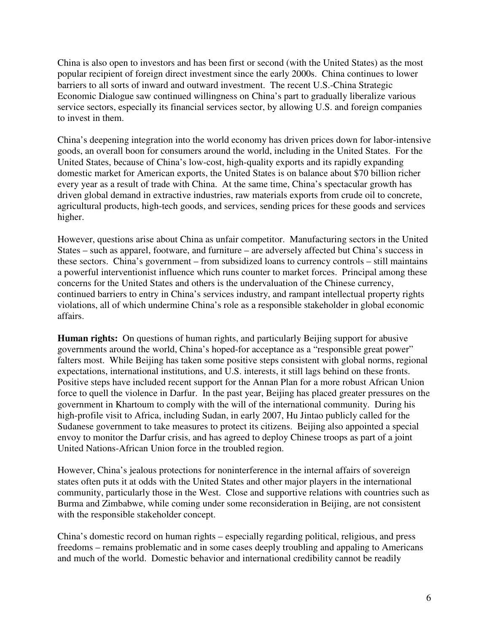China is also open to investors and has been first or second (with the United States) as the most popular recipient of foreign direct investment since the early 2000s. China continues to lower barriers to all sorts of inward and outward investment. The recent U.S.-China Strategic Economic Dialogue saw continued willingness on China's part to gradually liberalize various service sectors, especially its financial services sector, by allowing U.S. and foreign companies to invest in them.

China's deepening integration into the world economy has driven prices down for labor-intensive goods, an overall boon for consumers around the world, including in the United States. For the United States, because of China's low-cost, high-quality exports and its rapidly expanding domestic market for American exports, the United States is on balance about \$70 billion richer every year as a result of trade with China. At the same time, China's spectacular growth has driven global demand in extractive industries, raw materials exports from crude oil to concrete, agricultural products, high-tech goods, and services, sending prices for these goods and services higher.

However, questions arise about China as unfair competitor. Manufacturing sectors in the United States – such as apparel, footware, and furniture – are adversely affected but China's success in these sectors. China's government – from subsidized loans to currency controls – still maintains a powerful interventionist influence which runs counter to market forces. Principal among these concerns for the United States and others is the undervaluation of the Chinese currency, continued barriers to entry in China's services industry, and rampant intellectual property rights violations, all of which undermine China's role as a responsible stakeholder in global economic affairs.

**Human rights:** On questions of human rights, and particularly Beijing support for abusive governments around the world, China's hoped-for acceptance as a "responsible great power" falters most. While Beijing has taken some positive steps consistent with global norms, regional expectations, international institutions, and U.S. interests, it still lags behind on these fronts. Positive steps have included recent support for the Annan Plan for a more robust African Union force to quell the violence in Darfur. In the past year, Beijing has placed greater pressures on the government in Khartoum to comply with the will of the international community. During his high-profile visit to Africa, including Sudan, in early 2007, Hu Jintao publicly called for the Sudanese government to take measures to protect its citizens. Beijing also appointed a special envoy to monitor the Darfur crisis, and has agreed to deploy Chinese troops as part of a joint United Nations-African Union force in the troubled region.

However, China's jealous protections for noninterference in the internal affairs of sovereign states often puts it at odds with the United States and other major players in the international community, particularly those in the West. Close and supportive relations with countries such as Burma and Zimbabwe, while coming under some reconsideration in Beijing, are not consistent with the responsible stakeholder concept.

China's domestic record on human rights – especially regarding political, religious, and press freedoms – remains problematic and in some cases deeply troubling and appaling to Americans and much of the world. Domestic behavior and international credibility cannot be readily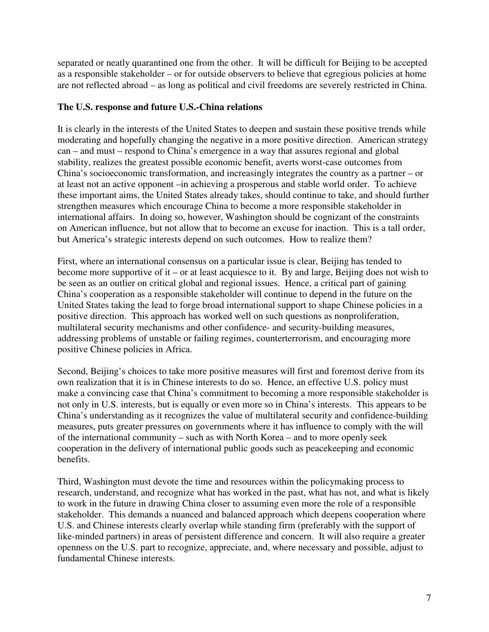separated or neatly quarantined one from the other. It will be difficult for Beijing to be accepted as a responsible stakeholder – or for outside observers to believe that egregious policies at home are not reflected abroad – as long as political and civil freedoms are severely restricted in China.

## **The U.S. response and future U.S.-China relations**

It is clearly in the interests of the United States to deepen and sustain these positive trends while moderating and hopefully changing the negative in a more positive direction. American strategy can – and must – respond to China's emergence in a way that assures regional and global stability, realizes the greatest possible economic benefit, averts worst-case outcomes from China's socioeconomic transformation, and increasingly integrates the country as a partner – or at least not an active opponent –in achieving a prosperous and stable world order. To achieve these important aims, the United States already takes, should continue to take, and should further strengthen measures which encourage China to become a more responsible stakeholder in international affairs. In doing so, however, Washington should be cognizant of the constraints on American influence, but not allow that to become an excuse for inaction. This is a tall order, but America's strategic interests depend on such outcomes. How to realize them?

First, where an international consensus on a particular issue is clear, Beijing has tended to become more supportive of it – or at least acquiesce to it. By and large, Beijing does not wish to be seen as an outlier on critical global and regional issues. Hence, a critical part of gaining China's cooperation as a responsible stakeholder will continue to depend in the future on the United States taking the lead to forge broad international support to shape Chinese policies in a positive direction. This approach has worked well on such questions as nonproliferation, multilateral security mechanisms and other confidence- and security-building measures, addressing problems of unstable or failing regimes, counterterrorism, and encouraging more positive Chinese policies in Africa.

Second, Beijing's choices to take more positive measures will first and foremost derive from its own realization that it is in Chinese interests to do so. Hence, an effective U.S. policy must make a convincing case that China's commitment to becoming a more responsible stakeholder is not only in U.S. interests, but is equally or even more so in China's interests. This appears to be China's understanding as it recognizes the value of multilateral security and confidence-building measures, puts greater pressures on governments where it has influence to comply with the will of the international community – such as with North Korea – and to more openly seek cooperation in the delivery of international public goods such as peacekeeping and economic benefits.

Third, Washington must devote the time and resources within the policymaking process to research, understand, and recognize what has worked in the past, what has not, and what is likely to work in the future in drawing China closer to assuming even more the role of a responsible stakeholder. This demands a nuanced and balanced approach which deepens cooperation where U.S. and Chinese interests clearly overlap while standing firm (preferably with the support of like-minded partners) in areas of persistent difference and concern. It will also require a greater openness on the U.S. part to recognize, appreciate, and, where necessary and possible, adjust to fundamental Chinese interests.